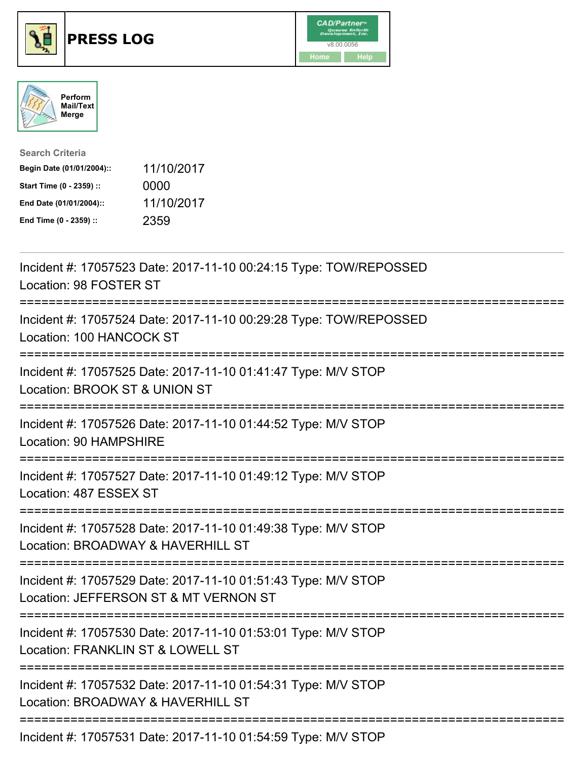





| <b>Search Criteria</b>    |            |
|---------------------------|------------|
| Begin Date (01/01/2004):: | 11/10/2017 |
| Start Time (0 - 2359) ::  | 0000       |
| End Date (01/01/2004)::   | 11/10/2017 |
| End Time (0 - 2359) ::    | 2359       |

| Incident #: 17057523 Date: 2017-11-10 00:24:15 Type: TOW/REPOSSED<br>Location: 98 FOSTER ST                                            |
|----------------------------------------------------------------------------------------------------------------------------------------|
| Incident #: 17057524 Date: 2017-11-10 00:29:28 Type: TOW/REPOSSED<br>Location: 100 HANCOCK ST                                          |
| Incident #: 17057525 Date: 2017-11-10 01:41:47 Type: M/V STOP<br>Location: BROOK ST & UNION ST                                         |
| Incident #: 17057526 Date: 2017-11-10 01:44:52 Type: M/V STOP<br>Location: 90 HAMPSHIRE                                                |
| Incident #: 17057527 Date: 2017-11-10 01:49:12 Type: M/V STOP<br>Location: 487 ESSEX ST<br>:==================================         |
| Incident #: 17057528 Date: 2017-11-10 01:49:38 Type: M/V STOP<br>Location: BROADWAY & HAVERHILL ST<br>-----------------------------    |
| Incident #: 17057529 Date: 2017-11-10 01:51:43 Type: M/V STOP<br>Location: JEFFERSON ST & MT VERNON ST<br>:=========================== |
| Incident #: 17057530 Date: 2017-11-10 01:53:01 Type: M/V STOP<br>Location: FRANKLIN ST & LOWELL ST<br>==============================   |
| Incident #: 17057532 Date: 2017-11-10 01:54:31 Type: M/V STOP<br>Location: BROADWAY & HAVERHILL ST<br>----------------------           |
| Incident #: 17057531 Date: 2017-11-10 01:54:59 Type: M/V STOP                                                                          |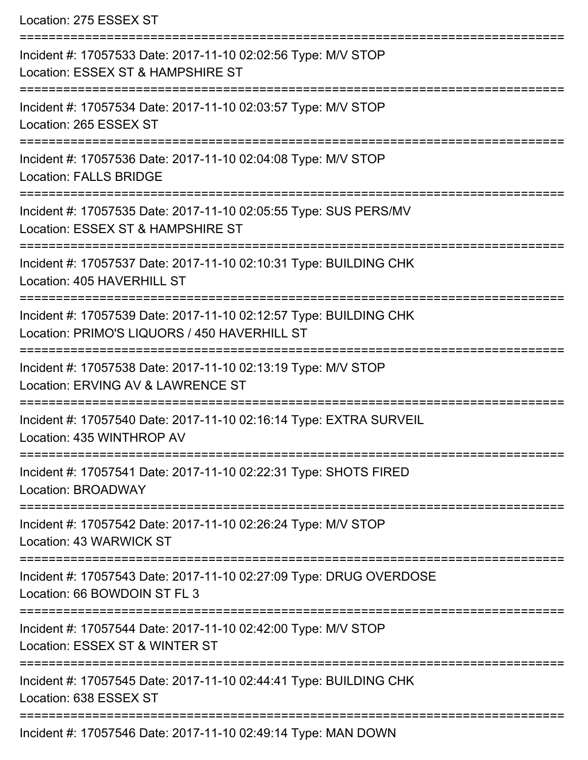Location: 275 ESSEX ST

| Incident #: 17057533 Date: 2017-11-10 02:02:56 Type: M/V STOP<br>Location: ESSEX ST & HAMPSHIRE ST                |
|-------------------------------------------------------------------------------------------------------------------|
| Incident #: 17057534 Date: 2017-11-10 02:03:57 Type: M/V STOP<br>Location: 265 ESSEX ST                           |
| Incident #: 17057536 Date: 2017-11-10 02:04:08 Type: M/V STOP<br><b>Location: FALLS BRIDGE</b>                    |
| Incident #: 17057535 Date: 2017-11-10 02:05:55 Type: SUS PERS/MV<br>Location: ESSEX ST & HAMPSHIRE ST             |
| Incident #: 17057537 Date: 2017-11-10 02:10:31 Type: BUILDING CHK<br>Location: 405 HAVERHILL ST                   |
| Incident #: 17057539 Date: 2017-11-10 02:12:57 Type: BUILDING CHK<br>Location: PRIMO'S LIQUORS / 450 HAVERHILL ST |
| Incident #: 17057538 Date: 2017-11-10 02:13:19 Type: M/V STOP<br>Location: ERVING AV & LAWRENCE ST                |
| Incident #: 17057540 Date: 2017-11-10 02:16:14 Type: EXTRA SURVEIL<br>Location: 435 WINTHROP AV                   |
| Incident #: 17057541 Date: 2017-11-10 02:22:31 Type: SHOTS FIRED<br>Location: BROADWAY                            |
| Incident #: 17057542 Date: 2017-11-10 02:26:24 Type: M/V STOP<br>Location: 43 WARWICK ST                          |
| Incident #: 17057543 Date: 2017-11-10 02:27:09 Type: DRUG OVERDOSE<br>Location: 66 BOWDOIN ST FL 3                |
| Incident #: 17057544 Date: 2017-11-10 02:42:00 Type: M/V STOP<br>Location: ESSEX ST & WINTER ST                   |
| Incident #: 17057545 Date: 2017-11-10 02:44:41 Type: BUILDING CHK<br>Location: 638 ESSEX ST                       |
| Incident #: 17057546 Date: 2017-11-10 02:49:14 Type: MAN DOWN                                                     |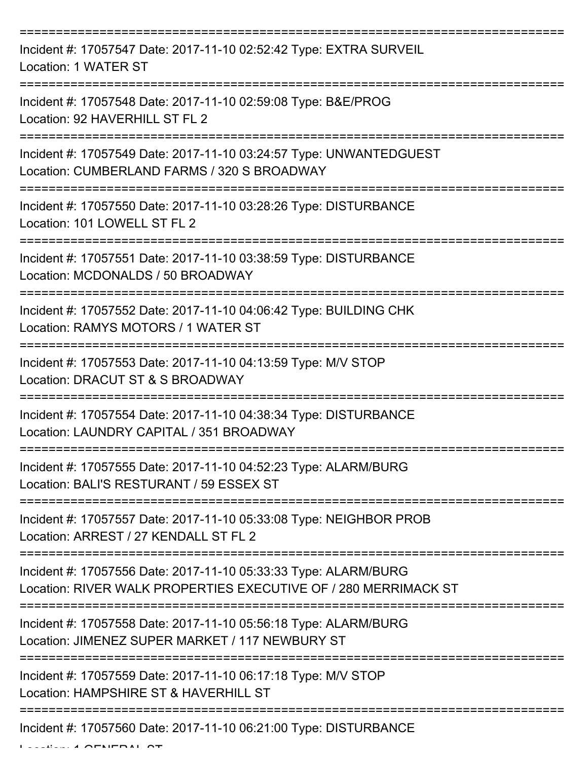| Incident #: 17057547 Date: 2017-11-10 02:52:42 Type: EXTRA SURVEIL<br>Location: 1 WATER ST                                         |
|------------------------------------------------------------------------------------------------------------------------------------|
| Incident #: 17057548 Date: 2017-11-10 02:59:08 Type: B&E/PROG<br>Location: 92 HAVERHILL ST FL 2                                    |
| Incident #: 17057549 Date: 2017-11-10 03:24:57 Type: UNWANTEDGUEST<br>Location: CUMBERLAND FARMS / 320 S BROADWAY                  |
| Incident #: 17057550 Date: 2017-11-10 03:28:26 Type: DISTURBANCE<br>Location: 101 LOWELL ST FL 2                                   |
| Incident #: 17057551 Date: 2017-11-10 03:38:59 Type: DISTURBANCE<br>Location: MCDONALDS / 50 BROADWAY                              |
| Incident #: 17057552 Date: 2017-11-10 04:06:42 Type: BUILDING CHK<br>Location: RAMYS MOTORS / 1 WATER ST                           |
| Incident #: 17057553 Date: 2017-11-10 04:13:59 Type: M/V STOP<br>Location: DRACUT ST & S BROADWAY                                  |
| Incident #: 17057554 Date: 2017-11-10 04:38:34 Type: DISTURBANCE<br>Location: LAUNDRY CAPITAL / 351 BROADWAY                       |
| Incident #: 17057555 Date: 2017-11-10 04:52:23 Type: ALARM/BURG<br>Location: BALI'S RESTURANT / 59 ESSEX ST                        |
| Incident #: 17057557 Date: 2017-11-10 05:33:08 Type: NEIGHBOR PROB<br>Location: ARREST / 27 KENDALL ST FL 2                        |
| Incident #: 17057556 Date: 2017-11-10 05:33:33 Type: ALARM/BURG<br>Location: RIVER WALK PROPERTIES EXECUTIVE OF / 280 MERRIMACK ST |
| Incident #: 17057558 Date: 2017-11-10 05:56:18 Type: ALARM/BURG<br>Location: JIMENEZ SUPER MARKET / 117 NEWBURY ST                 |
| Incident #: 17057559 Date: 2017-11-10 06:17:18 Type: M/V STOP<br>Location: HAMPSHIRE ST & HAVERHILL ST                             |
| Incident #: 17057560 Date: 2017-11-10 06:21:00 Type: DISTURBANCE                                                                   |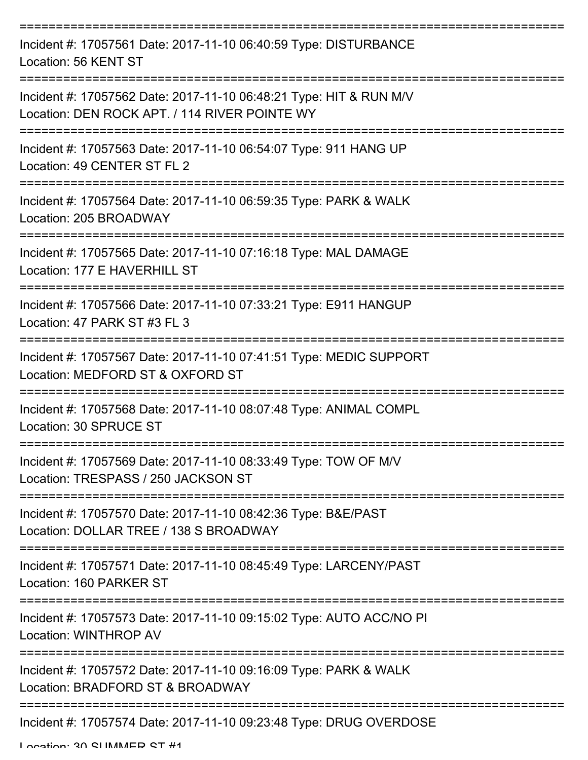| Incident #: 17057561 Date: 2017-11-10 06:40:59 Type: DISTURBANCE<br>Location: 56 KENT ST                            |
|---------------------------------------------------------------------------------------------------------------------|
| Incident #: 17057562 Date: 2017-11-10 06:48:21 Type: HIT & RUN M/V<br>Location: DEN ROCK APT. / 114 RIVER POINTE WY |
| Incident #: 17057563 Date: 2017-11-10 06:54:07 Type: 911 HANG UP<br>Location: 49 CENTER ST FL 2                     |
| Incident #: 17057564 Date: 2017-11-10 06:59:35 Type: PARK & WALK<br>Location: 205 BROADWAY                          |
| Incident #: 17057565 Date: 2017-11-10 07:16:18 Type: MAL DAMAGE<br>Location: 177 E HAVERHILL ST                     |
| Incident #: 17057566 Date: 2017-11-10 07:33:21 Type: E911 HANGUP<br>Location: 47 PARK ST #3 FL 3                    |
| Incident #: 17057567 Date: 2017-11-10 07:41:51 Type: MEDIC SUPPORT<br>Location: MEDFORD ST & OXFORD ST              |
| Incident #: 17057568 Date: 2017-11-10 08:07:48 Type: ANIMAL COMPL<br>Location: 30 SPRUCE ST                         |
| Incident #: 17057569 Date: 2017-11-10 08:33:49 Type: TOW OF M/V<br>Location: TRESPASS / 250 JACKSON ST              |
| Incident #: 17057570 Date: 2017-11-10 08:42:36 Type: B&E/PAST<br>Location: DOLLAR TREE / 138 S BROADWAY             |
| Incident #: 17057571 Date: 2017-11-10 08:45:49 Type: LARCENY/PAST<br>Location: 160 PARKER ST                        |
| Incident #: 17057573 Date: 2017-11-10 09:15:02 Type: AUTO ACC/NO PI<br>Location: WINTHROP AV                        |
| Incident #: 17057572 Date: 2017-11-10 09:16:09 Type: PARK & WALK<br>Location: BRADFORD ST & BROADWAY                |
| Incident #: 17057574 Date: 2017-11-10 09:23:48 Type: DRUG OVERDOSE                                                  |

Location: 20 CLIMMED CT #1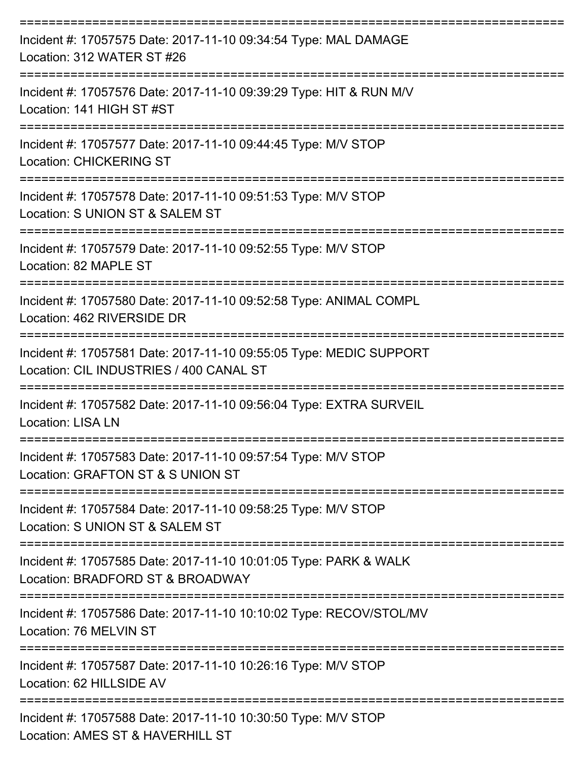| Incident #: 17057575 Date: 2017-11-10 09:34:54 Type: MAL DAMAGE<br>Location: 312 WATER ST #26                                        |
|--------------------------------------------------------------------------------------------------------------------------------------|
| Incident #: 17057576 Date: 2017-11-10 09:39:29 Type: HIT & RUN M/V<br>Location: 141 HIGH ST #ST                                      |
| Incident #: 17057577 Date: 2017-11-10 09:44:45 Type: M/V STOP<br><b>Location: CHICKERING ST</b>                                      |
| Incident #: 17057578 Date: 2017-11-10 09:51:53 Type: M/V STOP<br>Location: S UNION ST & SALEM ST<br>----------------                 |
| Incident #: 17057579 Date: 2017-11-10 09:52:55 Type: M/V STOP<br>Location: 82 MAPLE ST                                               |
| Incident #: 17057580 Date: 2017-11-10 09:52:58 Type: ANIMAL COMPL<br>Location: 462 RIVERSIDE DR                                      |
| ===================<br>Incident #: 17057581 Date: 2017-11-10 09:55:05 Type: MEDIC SUPPORT<br>Location: CIL INDUSTRIES / 400 CANAL ST |
| Incident #: 17057582 Date: 2017-11-10 09:56:04 Type: EXTRA SURVEIL<br>Location: LISA LN                                              |
| Incident #: 17057583 Date: 2017-11-10 09:57:54 Type: M/V STOP<br>Location: GRAFTON ST & S UNION ST                                   |
| Incident #: 17057584 Date: 2017-11-10 09:58:25 Type: M/V STOP<br>Location: S UNION ST & SALEM ST                                     |
| Incident #: 17057585 Date: 2017-11-10 10:01:05 Type: PARK & WALK<br>Location: BRADFORD ST & BROADWAY                                 |
| Incident #: 17057586 Date: 2017-11-10 10:10:02 Type: RECOV/STOL/MV<br>Location: 76 MELVIN ST                                         |
| Incident #: 17057587 Date: 2017-11-10 10:26:16 Type: M/V STOP<br>Location: 62 HILLSIDE AV                                            |
| Incident #: 17057588 Date: 2017-11-10 10:30:50 Type: M/V STOP<br>Location: AMES ST & HAVERHILL ST                                    |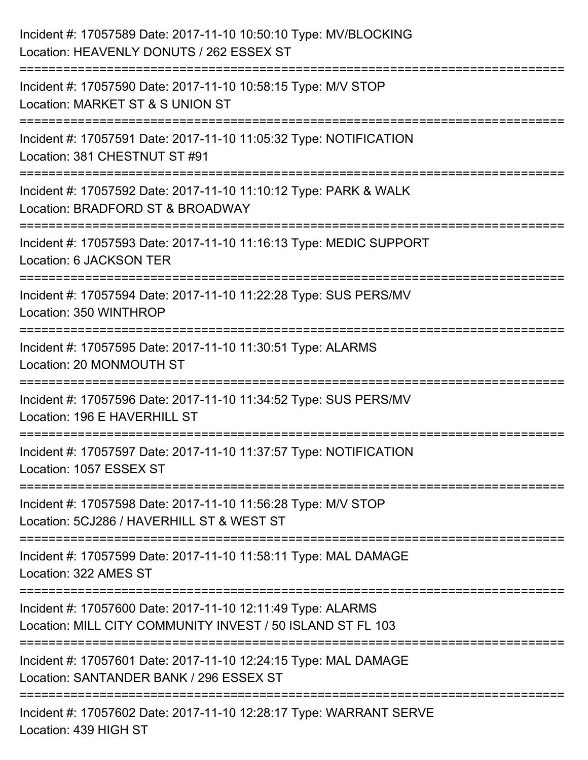| Incident #: 17057589 Date: 2017-11-10 10:50:10 Type: MV/BLOCKING<br>Location: HEAVENLY DONUTS / 262 ESSEX ST              |
|---------------------------------------------------------------------------------------------------------------------------|
| Incident #: 17057590 Date: 2017-11-10 10:58:15 Type: M/V STOP<br>Location: MARKET ST & S UNION ST                         |
| Incident #: 17057591 Date: 2017-11-10 11:05:32 Type: NOTIFICATION<br>Location: 381 CHESTNUT ST #91                        |
| Incident #: 17057592 Date: 2017-11-10 11:10:12 Type: PARK & WALK<br>Location: BRADFORD ST & BROADWAY                      |
| Incident #: 17057593 Date: 2017-11-10 11:16:13 Type: MEDIC SUPPORT<br>Location: 6 JACKSON TER                             |
| Incident #: 17057594 Date: 2017-11-10 11:22:28 Type: SUS PERS/MV<br>Location: 350 WINTHROP                                |
| Incident #: 17057595 Date: 2017-11-10 11:30:51 Type: ALARMS<br>Location: 20 MONMOUTH ST                                   |
| Incident #: 17057596 Date: 2017-11-10 11:34:52 Type: SUS PERS/MV<br>Location: 196 E HAVERHILL ST                          |
| Incident #: 17057597 Date: 2017-11-10 11:37:57 Type: NOTIFICATION<br>Location: 1057 ESSEX ST                              |
| Incident #: 17057598 Date: 2017-11-10 11:56:28 Type: M/V STOP<br>Location: 5CJ286 / HAVERHILL ST & WEST ST                |
| ===================<br>Incident #: 17057599 Date: 2017-11-10 11:58:11 Type: MAL DAMAGE<br>Location: 322 AMES ST           |
| Incident #: 17057600 Date: 2017-11-10 12:11:49 Type: ALARMS<br>Location: MILL CITY COMMUNITY INVEST / 50 ISLAND ST FL 103 |
| Incident #: 17057601 Date: 2017-11-10 12:24:15 Type: MAL DAMAGE<br>Location: SANTANDER BANK / 296 ESSEX ST                |
| Incident #: 17057602 Date: 2017-11-10 12:28:17 Type: WARRANT SERVE<br>Location: 439 HIGH ST                               |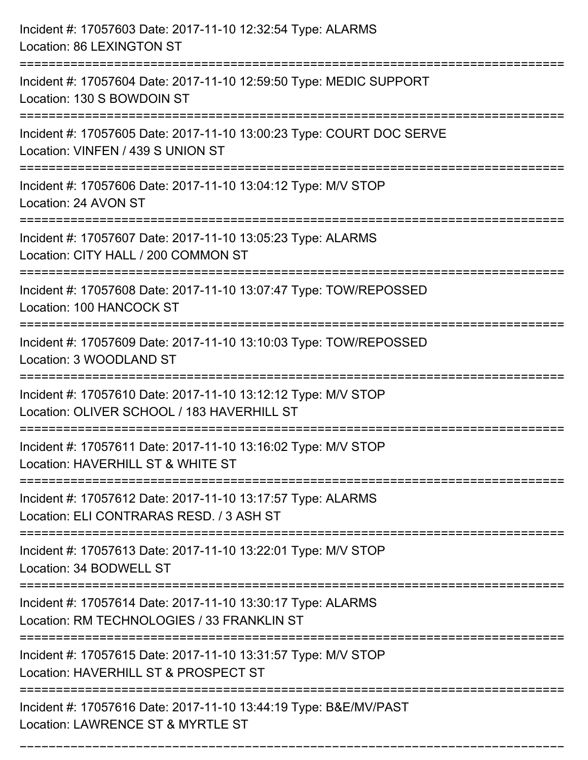| Incident #: 17057603 Date: 2017-11-10 12:32:54 Type: ALARMS<br>Location: 86 LEXINGTON ST                                                 |
|------------------------------------------------------------------------------------------------------------------------------------------|
| Incident #: 17057604 Date: 2017-11-10 12:59:50 Type: MEDIC SUPPORT<br>Location: 130 S BOWDOIN ST                                         |
| Incident #: 17057605 Date: 2017-11-10 13:00:23 Type: COURT DOC SERVE<br>Location: VINFEN / 439 S UNION ST<br>=========================== |
| Incident #: 17057606 Date: 2017-11-10 13:04:12 Type: M/V STOP<br>Location: 24 AVON ST                                                    |
| Incident #: 17057607 Date: 2017-11-10 13:05:23 Type: ALARMS<br>Location: CITY HALL / 200 COMMON ST                                       |
| Incident #: 17057608 Date: 2017-11-10 13:07:47 Type: TOW/REPOSSED<br>Location: 100 HANCOCK ST                                            |
| Incident #: 17057609 Date: 2017-11-10 13:10:03 Type: TOW/REPOSSED<br>Location: 3 WOODLAND ST                                             |
| Incident #: 17057610 Date: 2017-11-10 13:12:12 Type: M/V STOP<br>Location: OLIVER SCHOOL / 183 HAVERHILL ST                              |
| Incident #: 17057611 Date: 2017-11-10 13:16:02 Type: M/V STOP<br>Location: HAVERHILL ST & WHITE ST                                       |
| Incident #: 17057612 Date: 2017-11-10 13:17:57 Type: ALARMS<br>Location: ELI CONTRARAS RESD. / 3 ASH ST                                  |
| Incident #: 17057613 Date: 2017-11-10 13:22:01 Type: M/V STOP<br>Location: 34 BODWELL ST                                                 |
| Incident #: 17057614 Date: 2017-11-10 13:30:17 Type: ALARMS<br>Location: RM TECHNOLOGIES / 33 FRANKLIN ST                                |
| Incident #: 17057615 Date: 2017-11-10 13:31:57 Type: M/V STOP<br>Location: HAVERHILL ST & PROSPECT ST                                    |
| Incident #: 17057616 Date: 2017-11-10 13:44:19 Type: B&E/MV/PAST<br>Location: LAWRENCE ST & MYRTLE ST                                    |

===========================================================================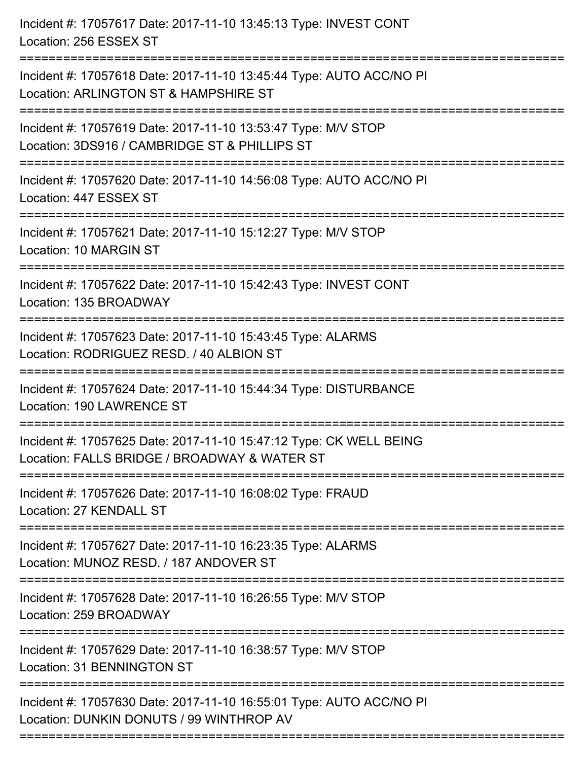| Incident #: 17057617 Date: 2017-11-10 13:45:13 Type: INVEST CONT<br>Location: 256 ESSEX ST                                                           |
|------------------------------------------------------------------------------------------------------------------------------------------------------|
| Incident #: 17057618 Date: 2017-11-10 13:45:44 Type: AUTO ACC/NO PI<br>Location: ARLINGTON ST & HAMPSHIRE ST                                         |
| Incident #: 17057619 Date: 2017-11-10 13:53:47 Type: M/V STOP<br>Location: 3DS916 / CAMBRIDGE ST & PHILLIPS ST<br>:================================= |
| Incident #: 17057620 Date: 2017-11-10 14:56:08 Type: AUTO ACC/NO PI<br>Location: 447 ESSEX ST                                                        |
| Incident #: 17057621 Date: 2017-11-10 15:12:27 Type: M/V STOP<br>Location: 10 MARGIN ST                                                              |
| Incident #: 17057622 Date: 2017-11-10 15:42:43 Type: INVEST CONT<br>Location: 135 BROADWAY                                                           |
| Incident #: 17057623 Date: 2017-11-10 15:43:45 Type: ALARMS<br>Location: RODRIGUEZ RESD. / 40 ALBION ST                                              |
| Incident #: 17057624 Date: 2017-11-10 15:44:34 Type: DISTURBANCE<br>Location: 190 LAWRENCE ST                                                        |
| Incident #: 17057625 Date: 2017-11-10 15:47:12 Type: CK WELL BEING<br>Location: FALLS BRIDGE / BROADWAY & WATER ST                                   |
| Incident #: 17057626 Date: 2017-11-10 16:08:02 Type: FRAUD<br>Location: 27 KENDALL ST                                                                |
| Incident #: 17057627 Date: 2017-11-10 16:23:35 Type: ALARMS<br>Location: MUNOZ RESD. / 187 ANDOVER ST                                                |
| Incident #: 17057628 Date: 2017-11-10 16:26:55 Type: M/V STOP<br>Location: 259 BROADWAY                                                              |
| Incident #: 17057629 Date: 2017-11-10 16:38:57 Type: M/V STOP<br>Location: 31 BENNINGTON ST                                                          |
| Incident #: 17057630 Date: 2017-11-10 16:55:01 Type: AUTO ACC/NO PI<br>Location: DUNKIN DONUTS / 99 WINTHROP AV                                      |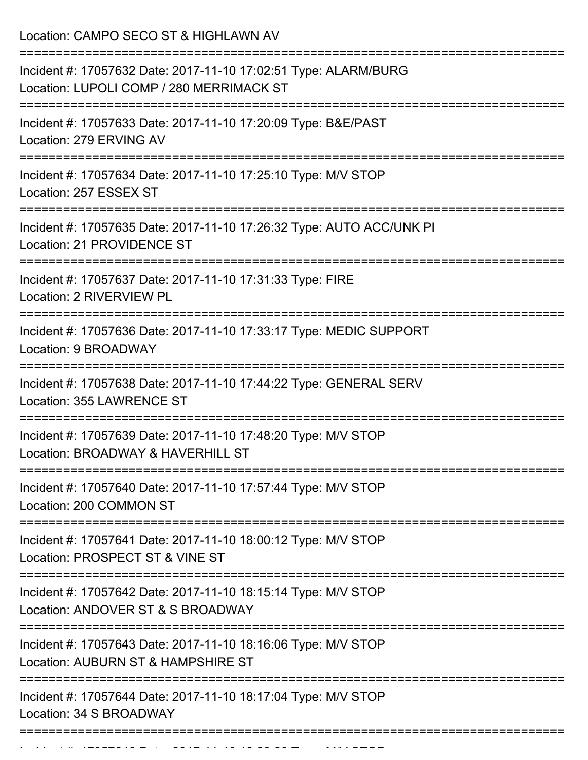Location: CAMPO SECO ST & HIGHLAWN AV =========================================================================== Incident #: 17057632 Date: 2017-11-10 17:02:51 Type: ALARM/BURG Location: LUPOLI COMP / 280 MERRIMACK ST =========================================================================== Incident #: 17057633 Date: 2017-11-10 17:20:09 Type: B&E/PAST Location: 279 ERVING AV =========================================================================== Incident #: 17057634 Date: 2017-11-10 17:25:10 Type: M/V STOP Location: 257 ESSEX ST

===========================================================================

Incident #: 17057635 Date: 2017-11-10 17:26:32 Type: AUTO ACC/UNK PI Location: 21 PROVIDENCE ST

===========================================================================

Incident #: 17057637 Date: 2017-11-10 17:31:33 Type: FIRE

Location: 2 RIVERVIEW PL

===========================================================================

Incident #: 17057636 Date: 2017-11-10 17:33:17 Type: MEDIC SUPPORT Location: 9 BROADWAY

===========================================================================

Incident #: 17057638 Date: 2017-11-10 17:44:22 Type: GENERAL SERV Location: 355 LAWRENCE ST

===========================================================================

Incident #: 17057639 Date: 2017-11-10 17:48:20 Type: M/V STOP Location: BROADWAY & HAVERHILL ST

===========================================================================

Incident #: 17057640 Date: 2017-11-10 17:57:44 Type: M/V STOP Location: 200 COMMON ST

===========================================================================

Incident #: 17057641 Date: 2017-11-10 18:00:12 Type: M/V STOP

Location: PROSPECT ST & VINE ST

===========================================================================

Incident #: 17057642 Date: 2017-11-10 18:15:14 Type: M/V STOP

Location: ANDOVER ST & S BROADWAY

=========================================================================== Incident #: 17057643 Date: 2017-11-10 18:16:06 Type: M/V STOP

Location: AUBURN ST & HAMPSHIRE ST

===========================================================================

===========================================================================

Incident #: 17057644 Date: 2017-11-10 18:17:04 Type: M/V STOP Location: 34 S BROADWAY

Incident #: 17057646 Date: 2017 11 10 18:20:20 Type: M/V STOP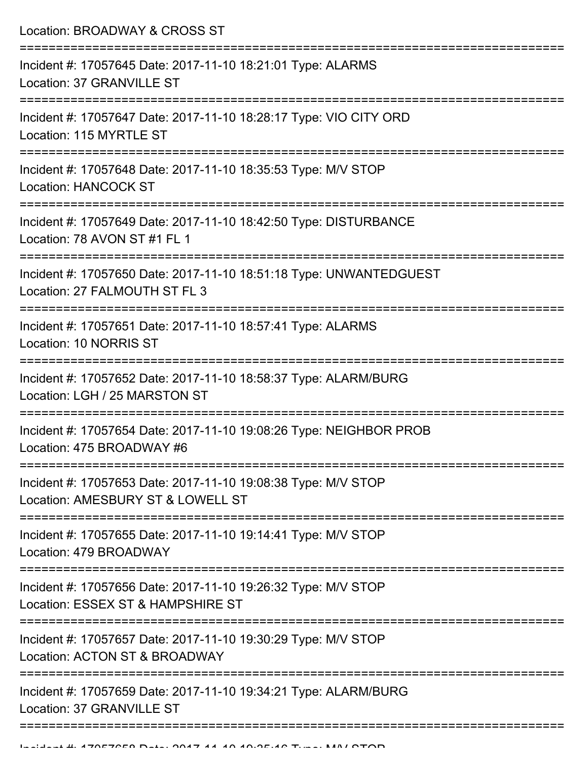| Location: BROADWAY & CROSS ST                                                                                             |
|---------------------------------------------------------------------------------------------------------------------------|
| Incident #: 17057645 Date: 2017-11-10 18:21:01 Type: ALARMS<br>Location: 37 GRANVILLE ST                                  |
| Incident #: 17057647 Date: 2017-11-10 18:28:17 Type: VIO CITY ORD<br>Location: 115 MYRTLE ST                              |
| Incident #: 17057648 Date: 2017-11-10 18:35:53 Type: M/V STOP<br><b>Location: HANCOCK ST</b>                              |
| Incident #: 17057649 Date: 2017-11-10 18:42:50 Type: DISTURBANCE<br>Location: 78 AVON ST #1 FL 1<br>:==================== |
| Incident #: 17057650 Date: 2017-11-10 18:51:18 Type: UNWANTEDGUEST<br>Location: 27 FALMOUTH ST FL 3                       |
| Incident #: 17057651 Date: 2017-11-10 18:57:41 Type: ALARMS<br>Location: 10 NORRIS ST                                     |
| Incident #: 17057652 Date: 2017-11-10 18:58:37 Type: ALARM/BURG<br>Location: LGH / 25 MARSTON ST                          |
| Incident #: 17057654 Date: 2017-11-10 19:08:26 Type: NEIGHBOR PROB<br>Location: 475 BROADWAY #6                           |
| Incident #: 17057653 Date: 2017-11-10 19:08:38 Type: M/V STOP<br>Location: AMESBURY ST & LOWELL ST                        |
| Incident #: 17057655 Date: 2017-11-10 19:14:41 Type: M/V STOP<br>Location: 479 BROADWAY                                   |
| Incident #: 17057656 Date: 2017-11-10 19:26:32 Type: M/V STOP<br>Location: ESSEX ST & HAMPSHIRE ST                        |
| Incident #: 17057657 Date: 2017-11-10 19:30:29 Type: M/V STOP<br>Location: ACTON ST & BROADWAY                            |
| Incident #: 17057659 Date: 2017-11-10 19:34:21 Type: ALARM/BURG<br>Location: 37 GRANVILLE ST                              |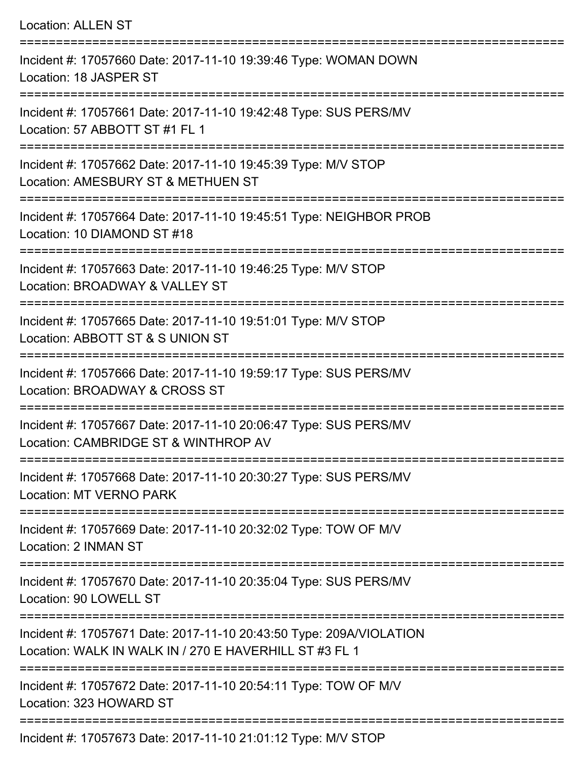| <b>Location: ALLEN ST</b>                                                                                                          |
|------------------------------------------------------------------------------------------------------------------------------------|
| Incident #: 17057660 Date: 2017-11-10 19:39:46 Type: WOMAN DOWN<br>Location: 18 JASPER ST<br>===================================== |
| Incident #: 17057661 Date: 2017-11-10 19:42:48 Type: SUS PERS/MV<br>Location: 57 ABBOTT ST #1 FL 1                                 |
| Incident #: 17057662 Date: 2017-11-10 19:45:39 Type: M/V STOP<br>Location: AMESBURY ST & METHUEN ST<br>========================    |
| Incident #: 17057664 Date: 2017-11-10 19:45:51 Type: NEIGHBOR PROB<br>Location: 10 DIAMOND ST #18                                  |
| Incident #: 17057663 Date: 2017-11-10 19:46:25 Type: M/V STOP<br>Location: BROADWAY & VALLEY ST                                    |
| :===================<br>Incident #: 17057665 Date: 2017-11-10 19:51:01 Type: M/V STOP<br>Location: ABBOTT ST & S UNION ST          |
| Incident #: 17057666 Date: 2017-11-10 19:59:17 Type: SUS PERS/MV<br>Location: BROADWAY & CROSS ST                                  |
| Incident #: 17057667 Date: 2017-11-10 20:06:47 Type: SUS PERS/MV<br>Location: CAMBRIDGE ST & WINTHROP AV                           |
| Incident #: 17057668 Date: 2017-11-10 20:30:27 Type: SUS PERS/MV<br>Location: MT VERNO PARK                                        |
| Incident #: 17057669 Date: 2017-11-10 20:32:02 Type: TOW OF M/V<br>Location: 2 INMAN ST                                            |
| Incident #: 17057670 Date: 2017-11-10 20:35:04 Type: SUS PERS/MV<br>Location: 90 LOWELL ST                                         |
| Incident #: 17057671 Date: 2017-11-10 20:43:50 Type: 209A/VIOLATION<br>Location: WALK IN WALK IN / 270 E HAVERHILL ST #3 FL 1      |
| Incident #: 17057672 Date: 2017-11-10 20:54:11 Type: TOW OF M/V<br>Location: 323 HOWARD ST                                         |
|                                                                                                                                    |

Incident #: 17057673 Date: 2017-11-10 21:01:12 Type: M/V STOP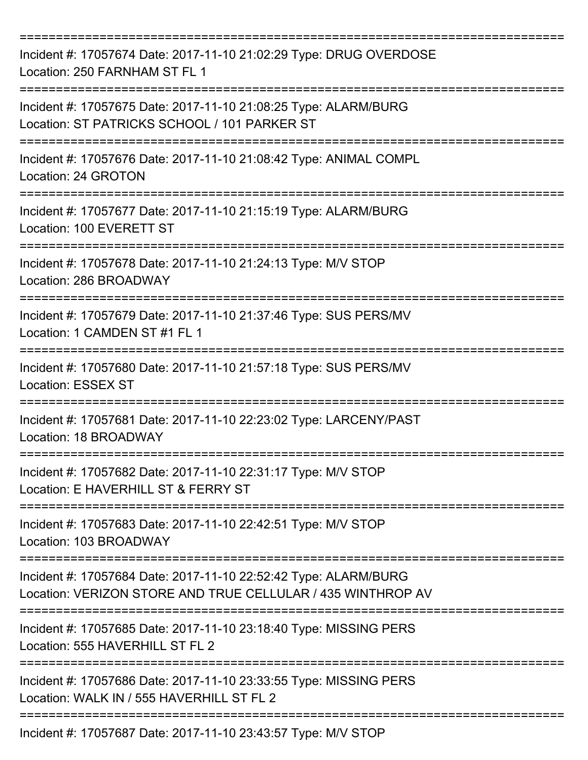| Incident #: 17057674 Date: 2017-11-10 21:02:29 Type: DRUG OVERDOSE<br>Location: 250 FARNHAM ST FL 1                            |
|--------------------------------------------------------------------------------------------------------------------------------|
| Incident #: 17057675 Date: 2017-11-10 21:08:25 Type: ALARM/BURG<br>Location: ST PATRICKS SCHOOL / 101 PARKER ST                |
| Incident #: 17057676 Date: 2017-11-10 21:08:42 Type: ANIMAL COMPL<br>Location: 24 GROTON                                       |
| Incident #: 17057677 Date: 2017-11-10 21:15:19 Type: ALARM/BURG<br>Location: 100 EVERETT ST                                    |
| ----------------<br>Incident #: 17057678 Date: 2017-11-10 21:24:13 Type: M/V STOP<br>Location: 286 BROADWAY                    |
| Incident #: 17057679 Date: 2017-11-10 21:37:46 Type: SUS PERS/MV<br>Location: 1 CAMDEN ST #1 FL 1                              |
| Incident #: 17057680 Date: 2017-11-10 21:57:18 Type: SUS PERS/MV<br><b>Location: ESSEX ST</b>                                  |
| Incident #: 17057681 Date: 2017-11-10 22:23:02 Type: LARCENY/PAST<br>Location: 18 BROADWAY                                     |
| Incident #: 17057682 Date: 2017-11-10 22:31:17 Type: M/V STOP<br>Location: E HAVERHILL ST & FERRY ST                           |
| Incident #: 17057683 Date: 2017-11-10 22:42:51 Type: M/V STOP<br>Location: 103 BROADWAY                                        |
| Incident #: 17057684 Date: 2017-11-10 22:52:42 Type: ALARM/BURG<br>Location: VERIZON STORE AND TRUE CELLULAR / 435 WINTHROP AV |
| Incident #: 17057685 Date: 2017-11-10 23:18:40 Type: MISSING PERS<br>Location: 555 HAVERHILL ST FL 2                           |
| Incident #: 17057686 Date: 2017-11-10 23:33:55 Type: MISSING PERS<br>Location: WALK IN / 555 HAVERHILL ST FL 2                 |
| Incident #: 17057687 Date: 2017-11-10 23:43:57 Type: M/V STOP                                                                  |